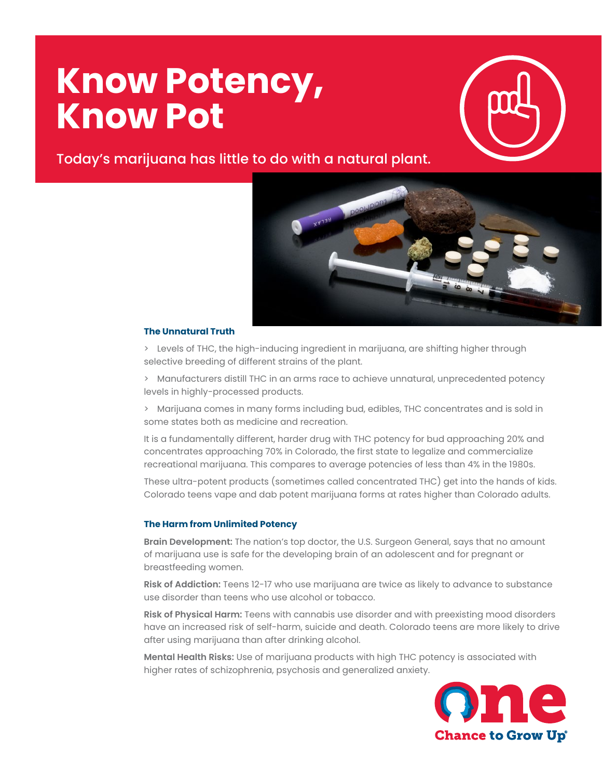# **Know Potency, Know Pot**



Today's marijuana has little to do with a natural plant.



#### **The Unnatural Truth**

> Levels of THC, the high-inducing ingredient in marijuana, are shifting higher through selective breeding of different strains of the plant.

> Manufacturers distill THC in an arms race to achieve unnatural, unprecedented potency levels in highly-processed products.

> Marijuana comes in many forms including bud, edibles, THC concentrates and is sold in some states both as medicine and recreation.

It is a fundamentally different, harder drug with THC potency for bud approaching 20% and concentrates approaching 70% in Colorado, the first state to legalize and commercialize recreational marijuana. This compares to average potencies of less than 4% in the 1980s.

These ultra-potent products (sometimes called concentrated THC) get into the hands of kids. Colorado teens vape and dab potent marijuana forms at rates higher than Colorado adults.

## **The Harm from Unlimited Potency**

**Brain Development:** The nation's top doctor, the U.S. Surgeon General, says that no amount of marijuana use is safe for the developing brain of an adolescent and for pregnant or breastfeeding women.

**Risk of Addiction:** Teens 12-17 who use marijuana are twice as likely to advance to substance use disorder than teens who use alcohol or tobacco.

**Risk of Physical Harm:** Teens with cannabis use disorder and with preexisting mood disorders have an increased risk of self-harm, suicide and death. Colorado teens are more likely to drive after using marijuana than after drinking alcohol.

**Mental Health Risks:** Use of marijuana products with high THC potency is associated with higher rates of schizophrenia, psychosis and generalized anxiety.